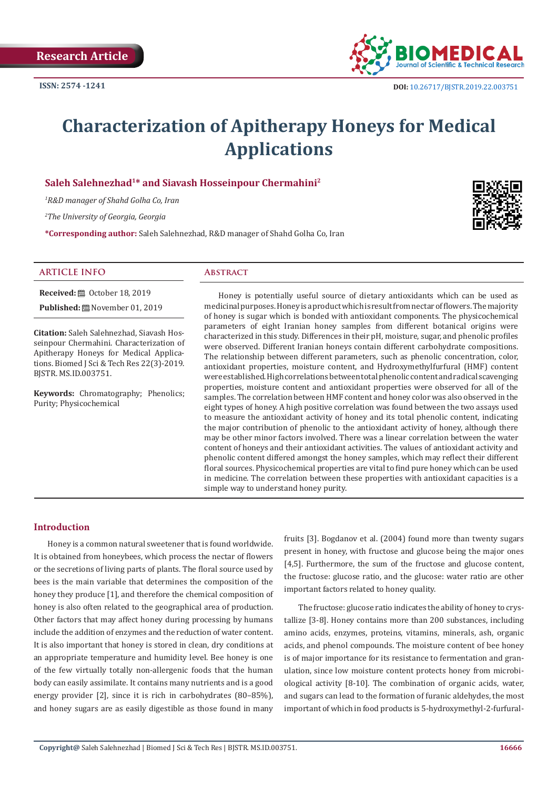

# **Characterization of Apitherapy Honeys for Medical Applications**

# **Saleh Salehnezhad1\* and Siavash Hosseinpour Chermahini2**

*1 R&D manager of Shahd Golha Co, Iran*

*2 The University of Georgia, Georgia*

**\*Corresponding author:** Saleh Salehnezhad, R&D manager of Shahd Golha Co, Iran



#### **ARTICLE INFO Abstract**

**Received:** ■ October 18, 2019

**Published:** November 01, 2019

**Citation:** Saleh Salehnezhad, Siavash Hosseinpour Chermahini. Characterization of Apitherapy Honeys for Medical Applications. Biomed J Sci & Tech Res 22(3)-2019. BJSTR. MS.ID.003751.

**Keywords:** Chromatography; Phenolics; Purity; Physicochemical

Honey is potentially useful source of dietary antioxidants which can be used as medicinal purposes. Honey is a product which is result from nectar of flowers. The majority of honey is sugar which is bonded with antioxidant components. The physicochemical parameters of eight Iranian honey samples from different botanical origins were characterized in this study. Differences in their pH, moisture, sugar, and phenolic profiles were observed. Different Iranian honeys contain different carbohydrate compositions. The relationship between different parameters, such as phenolic concentration, color, antioxidant properties, moisture content, and Hydroxymethylfurfural (HMF) content were established. High correlations between total phenolic content and radical scavenging properties, moisture content and antioxidant properties were observed for all of the samples. The correlation between HMF content and honey color was also observed in the eight types of honey. A high positive correlation was found between the two assays used to measure the antioxidant activity of honey and its total phenolic content, indicating the major contribution of phenolic to the antioxidant activity of honey, although there may be other minor factors involved. There was a linear correlation between the water content of honeys and their antioxidant activities. The values of antioxidant activity and phenolic content differed amongst the honey samples, which may reflect their different floral sources. Physicochemical properties are vital to find pure honey which can be used in medicine. The correlation between these properties with antioxidant capacities is a simple way to understand honey purity.

# **Introduction**

Honey is a common natural sweetener that is found worldwide. It is obtained from honeybees, which process the nectar of flowers or the secretions of living parts of plants. The floral source used by bees is the main variable that determines the composition of the honey they produce [1], and therefore the chemical composition of honey is also often related to the geographical area of production. Other factors that may affect honey during processing by humans include the addition of enzymes and the reduction of water content. It is also important that honey is stored in clean, dry conditions at an appropriate temperature and humidity level. Bee honey is one of the few virtually totally non-allergenic foods that the human body can easily assimilate. It contains many nutrients and is a good energy provider [2], since it is rich in carbohydrates (80–85%), and honey sugars are as easily digestible as those found in many

fruits [3]. Bogdanov et al. (2004) found more than twenty sugars present in honey, with fructose and glucose being the major ones [4,5]. Furthermore, the sum of the fructose and glucose content, the fructose: glucose ratio, and the glucose: water ratio are other important factors related to honey quality.

The fructose: glucose ratio indicates the ability of honey to crystallize [3-8]. Honey contains more than 200 substances, including amino acids, enzymes, proteins, vitamins, minerals, ash, organic acids, and phenol compounds. The moisture content of bee honey is of major importance for its resistance to fermentation and granulation, since low moisture content protects honey from microbiological activity [8-10]. The combination of organic acids, water, and sugars can lead to the formation of furanic aldehydes, the most important of which in food products is 5-hydroxymethyl-2-furfural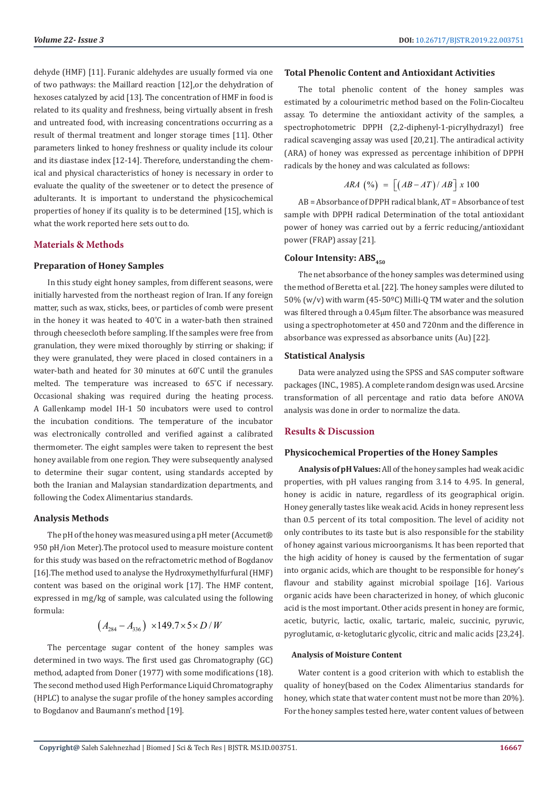dehyde (HMF) [11]. Furanic aldehydes are usually formed via one of two pathways: the Maillard reaction [12],or the dehydration of hexoses catalyzed by acid [13]. The concentration of HMF in food is related to its quality and freshness, being virtually absent in fresh and untreated food, with increasing concentrations occurring as a result of thermal treatment and longer storage times [11]. Other parameters linked to honey freshness or quality include its colour and its diastase index [12-14]. Therefore, understanding the chemical and physical characteristics of honey is necessary in order to evaluate the quality of the sweetener or to detect the presence of adulterants. It is important to understand the physicochemical properties of honey if its quality is to be determined [15], which is what the work reported here sets out to do.

# **Materials & Methods**

# **Preparation of Honey Samples**

In this study eight honey samples, from different seasons, were initially harvested from the northeast region of Iran. If any foreign matter, such as wax, sticks, bees, or particles of comb were present in the honey it was heated to 40˚C in a water-bath then strained through cheesecloth before sampling. If the samples were free from granulation, they were mixed thoroughly by stirring or shaking; if they were granulated, they were placed in closed containers in a water-bath and heated for 30 minutes at 60˚C until the granules melted. The temperature was increased to 65˚C if necessary. Occasional shaking was required during the heating process. A Gallenkamp model IH-1 50 incubators were used to control the incubation conditions. The temperature of the incubator was electronically controlled and verified against a calibrated thermometer. The eight samples were taken to represent the best honey available from one region. They were subsequently analysed to determine their sugar content, using standards accepted by both the Iranian and Malaysian standardization departments, and following the Codex Alimentarius standards.

#### **Analysis Methods**

The pH of the honey was measured using a pH meter (Accumet® 950 pH/ion Meter).The protocol used to measure moisture content for this study was based on the refractometric method of Bogdanov [16].The method used to analyse the Hydroxymethylfurfural (HMF) content was based on the original work [17]. The HMF content, expressed in mg/kg of sample, was calculated using the following formula:

$$
(A_{284} - A_{336}) \times 149.7 \times 5 \times D/W
$$

The percentage sugar content of the honey samples was determined in two ways. The first used gas Chromatography (GC) method, adapted from Doner (1977) with some modifications (18). The second method used High Performance Liquid Chromatography (HPLC) to analyse the sugar profile of the honey samples according to Bogdanov and Baumann's method [19].

#### **Total Phenolic Content and Antioxidant Activities**

The total phenolic content of the honey samples was estimated by a colourimetric method based on the Folin-Ciocalteu assay. To determine the antioxidant activity of the samples, a spectrophotometric DPPH (2,2-diphenyl-1-picrylhydrazyl) free radical scavenging assay was used [20,21]. The antiradical activity (ARA) of honey was expressed as percentage inhibition of DPPH radicals by the honey and was calculated as follows:

$$
ARA \, (%) \, = \, \left[ \left( AB - AT \right) / AB \right] x \, 100
$$

AB = Absorbance of DPPH radical blank, AT = Absorbance of test sample with DPPH radical Determination of the total antioxidant power of honey was carried out by a ferric reducing/antioxidant power (FRAP) assay [21].

#### **Colour Intensity: ABS**<sub>450</sub>

The net absorbance of the honey samples was determined using the method of Beretta et al. [22]. The honey samples were diluted to 50% (w/v) with warm (45-50ºC) Milli-Q TM water and the solution was filtered through a 0.45μm filter. The absorbance was measured using a spectrophotometer at 450 and 720nm and the difference in absorbance was expressed as absorbance units (Au) [22].

#### **Statistical Analysis**

Data were analyzed using the SPSS and SAS computer software packages (INC., 1985). A complete random design was used. Arcsine transformation of all percentage and ratio data before ANOVA analysis was done in order to normalize the data.

#### **Results & Discussion**

#### **Physicochemical Properties of the Honey Samples**

**Analysis of pH Values:** All of the honey samples had weak acidic properties, with pH values ranging from 3.14 to 4.95. In general, honey is acidic in nature, regardless of its geographical origin. Honey generally tastes like weak acid. Acids in honey represent less than 0.5 percent of its total composition. The level of acidity not only contributes to its taste but is also responsible for the stability of honey against various microorganisms. It has been reported that the high acidity of honey is caused by the fermentation of sugar into organic acids, which are thought to be responsible for honey's flavour and stability against microbial spoilage [16]. Various organic acids have been characterized in honey, of which gluconic acid is the most important. Other acids present in honey are formic, acetic, butyric, lactic, oxalic, tartaric, maleic, succinic, pyruvic, pyroglutamic, α-ketoglutaric glycolic, citric and malic acids [23,24].

#### **Analysis of Moisture Content**

Water content is a good criterion with which to establish the quality of honey(based on the Codex Alimentarius standards for honey, which state that water content must not be more than 20%). For the honey samples tested here, water content values of between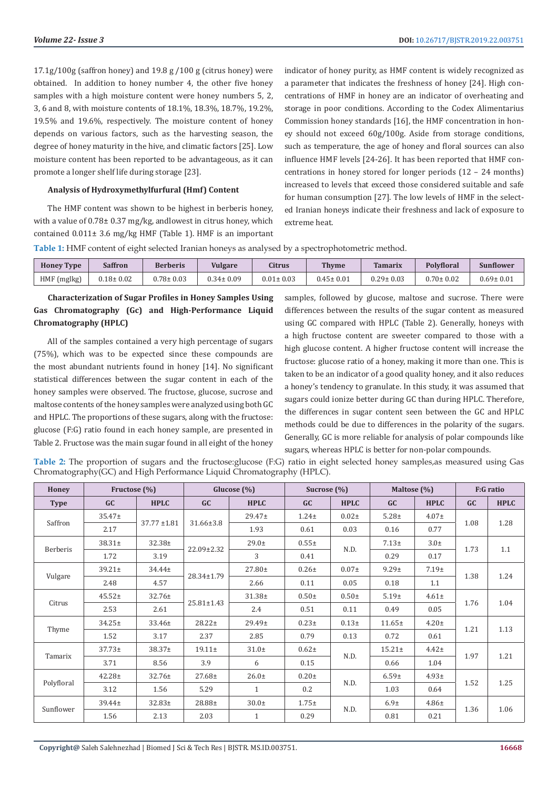17.1g/100g (saffron honey) and 19.8 g /100 g (citrus honey) were obtained. In addition to honey number 4, the other five honey samples with a high moisture content were honey numbers 5, 2, 3, 6 and 8, with moisture contents of 18.1%, 18.3%, 18.7%, 19.2%, 19.5% and 19.6%, respectively. The moisture content of honey depends on various factors, such as the harvesting season, the degree of honey maturity in the hive, and climatic factors [25]. Low moisture content has been reported to be advantageous, as it can promote a longer shelf life during storage [23].

# **Analysis of Hydroxymethylfurfural (Hmf) Content**

The HMF content was shown to be highest in berberis honey, with a value of 0.78± 0.37 mg/kg, andlowest in citrus honey, which contained 0.011± 3.6 mg/kg HMF (Table 1). HMF is an important indicator of honey purity, as HMF content is widely recognized as a parameter that indicates the freshness of honey [24]. High concentrations of HMF in honey are an indicator of overheating and storage in poor conditions. According to the Codex Alimentarius Commission honey standards [16], the HMF concentration in honey should not exceed 60g/100g. Aside from storage conditions, such as temperature, the age of honey and floral sources can also influence HMF levels [24-26]. It has been reported that HMF concentrations in honey stored for longer periods (12 – 24 months) increased to levels that exceed those considered suitable and safe for human consumption [27]. The low levels of HMF in the selected Iranian honeys indicate their freshness and lack of exposure to extreme heat.

**Table 1:** HMF content of eight selected Iranian honeys as analysed by a spectrophotometric method.

| <b>Honey Type</b> | <b>Saffron</b>  | <b>Berberis</b> | <b>Vulgare</b>  | <b>Citrus</b>   | <b>Thyme</b>    | <b>Tamarix</b>  | <b>Polyfloral</b> | Sunflower       |
|-------------------|-----------------|-----------------|-----------------|-----------------|-----------------|-----------------|-------------------|-----------------|
| HMF (mglkg)       | $0.18 \pm 0.02$ | $0.78 \pm 0.03$ | $0.34 \pm 0.09$ | $0.01 \pm 0.03$ | $0.45 \pm 0.01$ | $0.29 \pm 0.03$ | $0.70 \pm 0.02$   | $0.69 \pm 0.01$ |

# **Characterization of Sugar Profiles in Honey Samples Using Gas Chromatography (Gc) and High-Performance Liquid Chromatography (HPLC)**

All of the samples contained a very high percentage of sugars (75%), which was to be expected since these compounds are the most abundant nutrients found in honey [14]. No significant statistical differences between the sugar content in each of the honey samples were observed. The fructose, glucose, sucrose and maltose contents of the honey samples were analyzed using both GC and HPLC. The proportions of these sugars, along with the fructose: glucose (F:G) ratio found in each honey sample, are presented in Table 2. Fructose was the main sugar found in all eight of the honey

samples, followed by glucose, maltose and sucrose. There were differences between the results of the sugar content as measured using GC compared with HPLC (Table 2). Generally, honeys with a high fructose content are sweeter compared to those with a high glucose content. A higher fructose content will increase the fructose: glucose ratio of a honey, making it more than one. This is taken to be an indicator of a good quality honey, and it also reduces a honey's tendency to granulate. In this study, it was assumed that sugars could ionize better during GC than during HPLC. Therefore, the differences in sugar content seen between the GC and HPLC methods could be due to differences in the polarity of the sugars. Generally, GC is more reliable for analysis of polar compounds like sugars, whereas HPLC is better for non-polar compounds.

**Table 2:** The proportion of sugars and the fructose:glucose (F:G) ratio in eight selected honey samples,as measured using Gas Chromatography(GC) and High Performance Liquid Chromatography (HPLC).

| Honey            | Fructose (%) |                  | Glucose $(\%)$   |              | Sucrose (%) |                   | Maltose (%)      |             | F:G ratio |             |
|------------------|--------------|------------------|------------------|--------------|-------------|-------------------|------------------|-------------|-----------|-------------|
| <b>Type</b>      | GC           | <b>HPLC</b>      | GC               | <b>HPLC</b>  | GC          | <b>HPLC</b>       | GC               | <b>HPLC</b> | GC        | <b>HPLC</b> |
| Saffron          | $35.47 \pm$  |                  | $31.66 \pm 3.8$  | $29.47 \pm$  | $1.24 \pm$  | $0.02 +$          | $5.28 \pm$       | $4.07\pm$   | 1.08      | 1.28        |
|                  | 2.17         | $37.77 \pm 1.81$ |                  | 1.93         | 0.61        | 0.03              | 0.16             | 0.77        |           |             |
|                  | 38.31±       | 32.38±           | 22.09±2.32       | $29.0\pm$    | $0.55 \pm$  | N.D.              | $7.13\pm$        | $3.0\pm$    | 1.73      | 1.1         |
| Berberis<br>1.72 |              | 3.19             |                  | 3            | 0.41        |                   | 0.29             | 0.17        |           |             |
|                  | $39.21 \pm$  | 34.44±           |                  | 27.80±       | $0.26\pm$   | $0.07\pm$<br>0.05 | $9.29 \pm$       | 7.19±       | 1.38      | 1.24        |
| Vulgare          | 2.48         | 4.57             | 28.34±1.79       | 2.66         | 0.11        |                   | 0.18             | 1.1         |           |             |
| Citrus           | $45.52+$     | 32.76±           | $25.81 \pm 1.43$ | 31.38±       | $0.50+$     | $0.50+$           | 5.19±            | $4.61\pm$   |           | 1.04        |
|                  | 2.53         | 2.61             |                  | 2.4          | 0.51        | 0.11              | 0.49             | 0.05        | 1.76      |             |
| Thyme            | $34.25 \pm$  | $33.46 \pm$      | $28.22 \pm$      | 29.49±       | $0.23\pm$   | $0.13+$           | $11.65\pm$       | $4.20\pm$   | 1.21      | 1.13        |
|                  | 1.52         | 3.17             | 2.37             | 2.85         | 0.79        | 0.13              | 0.72             | 0.61        |           |             |
| Tamarix          | $37.73 \pm$  | 38.37±           | $19.11 \pm$      | $31.0\pm$    | $0.62 +$    | N.D.              | $15.21 \pm$      | $4.42 \pm$  | 1.97      | 1.21        |
|                  | 3.71         | 8.56             | 3.9              | 6            | 0.15        |                   | 0.66             | 1.04        |           |             |
| Polyfloral       | $42.28 \pm$  | $32.76 \pm$      | $27.68 \pm$      | $26.0\pm$    | $0.20 \pm$  | N.D.              | $6.59+$          | $4.93\pm$   | 1.52      | 1.25        |
|                  | 3.12         | 1.56             | 5.29             | $\mathbf{1}$ | 0.2         |                   | 1.03             | 0.64        |           |             |
| Sunflower        | $39.44 \pm$  | $32.83+$         | 28.88±           | $30.0\pm$    | $1.75 \pm$  | N.D.              | 6.9 <sub>±</sub> | $4.86\pm$   | 1.36      | 1.06        |
|                  | 1.56         | 2.13             | 2.03             | $\mathbf{1}$ | 0.29        |                   | 0.81             | 0.21        |           |             |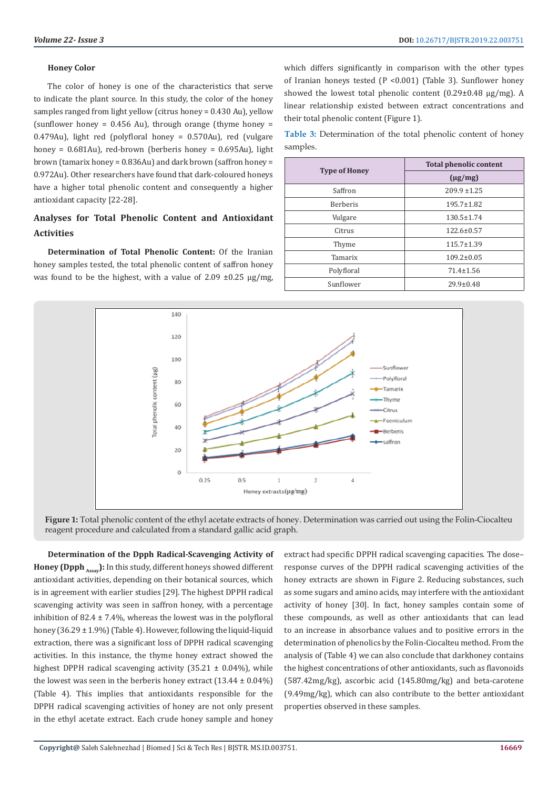#### **Honey Color**

The color of honey is one of the characteristics that serve to indicate the plant source. In this study, the color of the honey samples ranged from light yellow (citrus honey = 0.430 Au), yellow (sunflower honey = 0.456 Au), through orange (thyme honey = 0.479Au), light red (polyfloral honey = 0.570Au), red (vulgare honey = 0.681Au), red-brown (berberis honey = 0.695Au), light brown (tamarix honey = 0.836Au) and dark brown (saffron honey = 0.972Au). Other researchers have found that dark-coloured honeys have a higher total phenolic content and consequently a higher antioxidant capacity [22-28].

# **Analyses for Total Phenolic Content and Antioxidant Activities**

**Determination of Total Phenolic Content:** Of the Iranian honey samples tested, the total phenolic content of saffron honey was found to be the highest, with a value of 2.09  $\pm$ 0.25  $\mu$ g/mg, which differs significantly in comparison with the other types of Iranian honeys tested (P <0.001) (Table 3). Sunflower honey showed the lowest total phenolic content (0.29±0.48 µg/mg). A linear relationship existed between extract concentrations and their total phenolic content (Figure 1).

**Table 3:** Determination of the total phenolic content of honey samples.

|                      | <b>Total phenolic content</b> |  |  |
|----------------------|-------------------------------|--|--|
| <b>Type of Honey</b> | $(\mu g/mg)$                  |  |  |
| Saffron              | $209.9 \pm 1.25$              |  |  |
| Berberis             | $195.7 \pm 1.82$              |  |  |
| Vulgare              | $130.5 \pm 1.74$              |  |  |
| Citrus               | $122.6 \pm 0.57$              |  |  |
| Thyme                | $115.7 \pm 1.39$              |  |  |
| Tamarix              | $109.2 \pm 0.05$              |  |  |
| Polyfloral           | $71.4 \pm 1.56$               |  |  |
| Sunflower            | $29.9 \pm 0.48$               |  |  |



**Figure 1:** Total phenolic content of the ethyl acetate extracts of honey. Determination was carried out using the Folin-Ciocalteu reagent procedure and calculated from a standard gallic acid graph.

**Determination of the Dpph Radical-Scavenging Activity of Honey (Dpph**  $_{\text{Ascay}}$ **):** In this study, different honeys showed different antioxidant activities, depending on their botanical sources, which is in agreement with earlier studies [29]. The highest DPPH radical scavenging activity was seen in saffron honey, with a percentage inhibition of 82.4  $\pm$  7.4%, whereas the lowest was in the polyfloral honey (36.29 ± 1.9%) (Table 4). However, following the liquid-liquid extraction, there was a significant loss of DPPH radical scavenging activities. In this instance, the thyme honey extract showed the highest DPPH radical scavenging activity  $(35.21 \pm 0.04\%)$ , while the lowest was seen in the berberis honey extract  $(13.44 \pm 0.04\%)$ (Table 4). This implies that antioxidants responsible for the DPPH radical scavenging activities of honey are not only present in the ethyl acetate extract. Each crude honey sample and honey

extract had specific DPPH radical scavenging capacities. The dose– response curves of the DPPH radical scavenging activities of the honey extracts are shown in Figure 2. Reducing substances, such as some sugars and amino acids, may interfere with the antioxidant activity of honey [30]. In fact, honey samples contain some of these compounds, as well as other antioxidants that can lead to an increase in absorbance values and to positive errors in the determination of phenolics by the Folin-Ciocalteu method. From the analysis of (Table 4) we can also conclude that darkhoney contains the highest concentrations of other antioxidants, such as flavonoids (587.42mg/kg), ascorbic acid (145.80mg/kg) and beta-carotene (9.49mg/kg), which can also contribute to the better antioxidant properties observed in these samples.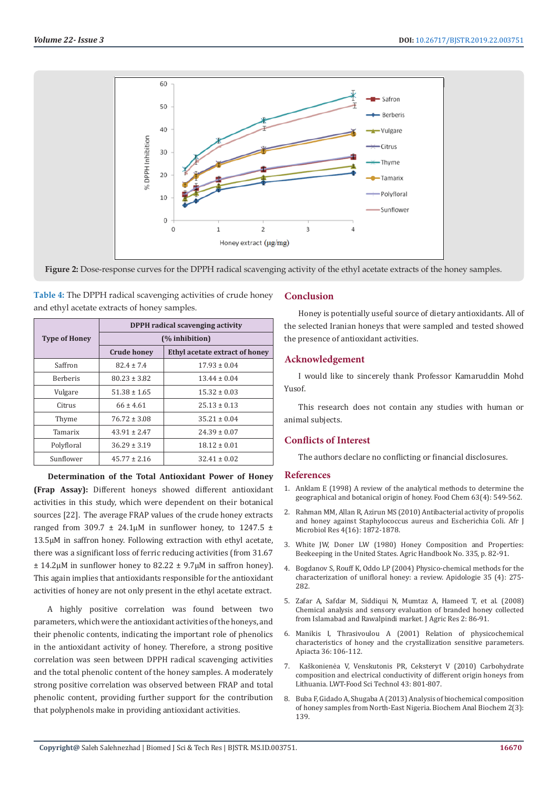

**Figure 2:** Dose-response curves for the DPPH radical scavenging activity of the ethyl acetate extracts of the honey samples.

**Table 4:** The DPPH radical scavenging activities of crude honey and ethyl acetate extracts of honey samples.

|                      | <b>DPPH</b> radical scavenging activity |                                |  |  |  |  |
|----------------------|-----------------------------------------|--------------------------------|--|--|--|--|
| <b>Type of Honey</b> | (% inhibition)                          |                                |  |  |  |  |
|                      | <b>Crude honey</b>                      | Ethyl acetate extract of honey |  |  |  |  |
| Saffron              | $82.4 \pm 7.4$                          | $17.93 \pm 0.04$               |  |  |  |  |
| <b>Berberis</b>      | $80.23 \pm 3.82$                        | $13.44 + 0.04$                 |  |  |  |  |
| Vulgare              | $51.38 \pm 1.65$                        | $15.32 \pm 0.03$               |  |  |  |  |
| Citrus               | $66 \pm 4.61$                           | $25.13 \pm 0.13$               |  |  |  |  |
| Thyme                | $76.72 \pm 3.08$                        | $35.21 \pm 0.04$               |  |  |  |  |
| Tamarix              | $43.91 \pm 2.47$                        | $24.39 \pm 0.07$               |  |  |  |  |
| Polyfloral           | $36.29 \pm 3.19$                        | $18.12 \pm 0.01$               |  |  |  |  |
| Sunflower            | $45.77 \pm 2.16$                        | $32.41 \pm 0.02$               |  |  |  |  |

**Determination of the Total Antioxidant Power of Honey (Frap Assay):** Different honeys showed different antioxidant activities in this study, which were dependent on their botanical sources [22]. The average FRAP values of the crude honey extracts ranged from 309.7  $\pm$  24.1µM in sunflower honey, to 1247.5  $\pm$ 13.5μM in saffron honey. Following extraction with ethyl acetate, there was a significant loss of ferric reducing activities (from 31.67  $\pm$  14.2μM in sunflower honey to 82.22  $\pm$  9.7μM in saffron honey). This again implies that antioxidants responsible for the antioxidant activities of honey are not only present in the ethyl acetate extract.

A highly positive correlation was found between two parameters, which were the antioxidant activities of the honeys, and their phenolic contents, indicating the important role of phenolics in the antioxidant activity of honey. Therefore, a strong positive correlation was seen between DPPH radical scavenging activities and the total phenolic content of the honey samples. A moderately strong positive correlation was observed between FRAP and total phenolic content, providing further support for the contribution that polyphenols make in providing antioxidant activities.

# **Conclusion**

Honey is potentially useful source of dietary antioxidants. All of the selected Iranian honeys that were sampled and tested showed the presence of antioxidant activities.

# **Acknowledgement**

I would like to sincerely thank Professor Kamaruddin Mohd Yusof.

This research does not contain any studies with human or animal subjects.

# **Conflicts of Interest**

The authors declare no conflicting or financial disclosures.

# **References**

- 1. [Anklam E \(1998\) A review of the analytical methods to determine the](https://www.sciencedirect.com/science/article/pii/S0308814698000570) [geographical and botanical origin of honey. Food Chem 63\(4\): 549-562.](https://www.sciencedirect.com/science/article/pii/S0308814698000570)
- 2. [Rahman MM, Allan R, Azirun MS \(2010\) Antibacterial activity of propolis](http://www.academicjournals.org/app/webroot/article/article1380360962_Rahman%20et%20al.pdf) [and honey against Staphylococcus aureus and Escherichia Coli. Afr J](http://www.academicjournals.org/app/webroot/article/article1380360962_Rahman%20et%20al.pdf) [Microbiol Res 4\(16\): 1872-1878.](http://www.academicjournals.org/app/webroot/article/article1380360962_Rahman%20et%20al.pdf)
- 3. [White JW, Doner LW \(1980\) Honey Composition and Properties:](https://beesource.com/resources/usda/honey-composition-and-properties/) [Beekeeping in the United States. Agric Handbook No. 335, p. 82-91.](https://beesource.com/resources/usda/honey-composition-and-properties/)
- 4. [Bogdanov S, Rouff K, Oddo LP \(2004\) Physico-chemical methods for the](https://pdfs.semanticscholar.org/0dfb/96d6f37e715922fdcb11c8705427356b6e24.pdf) [characterization of unifloral honey: a review. Apidologie 35 \(4\): 275-](https://pdfs.semanticscholar.org/0dfb/96d6f37e715922fdcb11c8705427356b6e24.pdf) [282.](https://pdfs.semanticscholar.org/0dfb/96d6f37e715922fdcb11c8705427356b6e24.pdf)
- 5. [Zafar A, Safdar M, Siddiqui N, Mumtaz A, Hameed T, et al. \(2008\)](https://www.semanticscholar.org/paper/Chemical-analysis-and-sensory-evaluation-of-branded-Zafar-Safdar/5a8954c08d58630c665cf2d3cf08d27027497d8b) [Chemical analysis and sensory evaluation of branded honey collected](https://www.semanticscholar.org/paper/Chemical-analysis-and-sensory-evaluation-of-branded-Zafar-Safdar/5a8954c08d58630c665cf2d3cf08d27027497d8b) [from Islamabad and Rawalpindi market. J Agric Res 2: 86-91.](https://www.semanticscholar.org/paper/Chemical-analysis-and-sensory-evaluation-of-branded-Zafar-Safdar/5a8954c08d58630c665cf2d3cf08d27027497d8b)
- 6. [Manikis I, Thrasivoulou A \(2001\) Relation of physicochemical](http://www.fiitea.org/foundation/files/2001/I.%20MANIKIS,%20A.%20THRASYVOULOU.pdf) [characteristics of honey and the crystallization sensitive parameters.](http://www.fiitea.org/foundation/files/2001/I.%20MANIKIS,%20A.%20THRASYVOULOU.pdf) [Apiacta 36: 106-112.](http://www.fiitea.org/foundation/files/2001/I.%20MANIKIS,%20A.%20THRASYVOULOU.pdf)
- 7. [Kaškonienėa V, Venskutonis PR, Ceksteryt V \(2010\) Carbohydrate](https://www.sciencedirect.com/science/article/pii/S0023643810000125) [composition and electrical conductivity of different origin honeys from](https://www.sciencedirect.com/science/article/pii/S0023643810000125) [Lithuania. LWT-Food Sci Technol 43: 801-807.](https://www.sciencedirect.com/science/article/pii/S0023643810000125)
- 8. [Buba F, Gidado A, Shugaba A \(2013\) Analysis of biochemical composition](https://www.longdom.org/open-access/analysis-of-biochemical-composition-of-honey-samples-from-northeast-nigeria-2161-1009.1000139.pdf) [of honey samples from North-East Nigeria. Biochem Anal Biochem 2\(3\):](https://www.longdom.org/open-access/analysis-of-biochemical-composition-of-honey-samples-from-northeast-nigeria-2161-1009.1000139.pdf) [139.](https://www.longdom.org/open-access/analysis-of-biochemical-composition-of-honey-samples-from-northeast-nigeria-2161-1009.1000139.pdf)